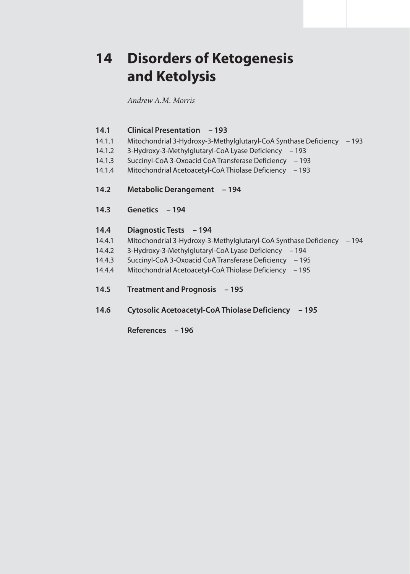# **14 Disorders of Ketogenesis and Ketolysis**

*Andrew A.M. Morris*

## **14.1 Clinical Presentation – 193**

- 14.1.1 Mitochondrial 3-Hydroxy-3-Methylglutaryl-CoA Synthase Deficiency 193
- 14.1.2 3-Hydroxy-3-Methylglutaryl-CoA Lyase Deficiency 193
- 14.1.3 Succinyl-CoA 3-Oxoacid CoA Transferase Deficiency 193
- 14.1.4 Mitochondrial Acetoacetyl-CoA Thiolase Deficiency 193
- **14.2 Metabolic Derangement 194**
- **14.3 Genetics 194**

# **14.4 Diagnostic Tests – 194**

- 14.4.1 Mitochondrial 3-Hydroxy-3-Methylglutaryl-CoA Synthase Deficiency 194
- 14.4.2 3-Hydroxy-3-Methylglutaryl-CoA Lyase Deficiency 194
- 14.4.3 Succinyl-CoA 3-Oxoacid CoA Transferase Deficiency 195
- 14.4.4 Mitochondrial Acetoacetyl-CoA Thiolase Deficiency 195
- **14.5 Treatment and Prognosis 195**
- **14.6 Cytosolic Acetoacetyl-CoA Thiolase Deficiency 195**

 **References – 196**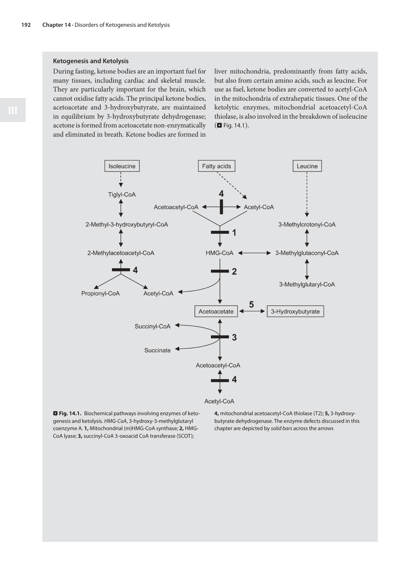#### **Ketogenesis and Ketolysis**

During fasting, ketone bodies are an important fuel for many tissues, including cardiac and skeletal muscle. They are particularly important for the brain, which cannot oxidise fatty acids. The principal ketone bodies, acetoacetate and 3-hydroxybutyrate, are maintained in equilibrium by 3-hydroxybutyrate dehydrogenase; acetone is formed from acetoacetate non-enzymatically and eliminated in breath. Ketone bodies are formed in

liver mitochondria, predominantly from fatty acids, but also from certain amino acids, such as leucine. For use as fuel, ketone bodies are converted to acetyl-CoA in the mitochondria of extrahepatic tissues. One of the ketolytic enzymes, mitochondrial acetoacetyl-CoA thiolase, is also involved in the breakdown of isoleucine  $(D$  Fig. 14.1).



. **Fig. 14.1.** Biochemical pathways involving enzymes of ketogenesis and ketolysis. HMG-CoA, 3-hydroxy-3-methylglutaryl coenzyme A. **1,** Mitochondrial (m)HMG-CoA synthase; **2,** HMG-CoA lyase; **3,** succinyl-CoA 3-oxoacid CoA transferase (SCOT);

**4,** mitochondrial acetoacetyl-CoA thiolase (T2); **5,** 3-hydroxybutyrate dehydrogenase. The enzyme defects discussed in this chapter are depicted by solid bars across the arrows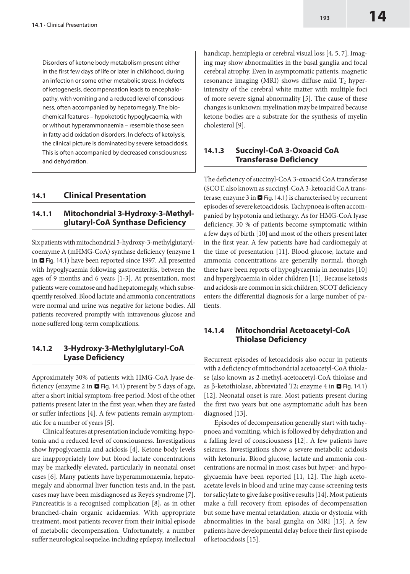Disorders of ketone body metabolism present either in the first few days of life or later in childhood, during an infection or some other metabolic stress. In defects of ketogenesis, decompensation leads to encephalopathy, with vomiting and a reduced level of consciousness, often accompanied by hepatomegaly. The biochemical features – hypoketotic hypoglycaemia, with or without hyperammonaemia – resemble those seen in fatty acid oxidation disorders. In defects of ketolysis, the clinical picture is dominated by severe ketoacidosis. This is often accompanied by decreased consciousness and dehydration.

#### **14.1 Clinical Presentation**

#### **14.1.1 Mitochondrial 3-Hydroxy-3-Methylglutaryl-CoA Synthase Deficiency**

Six patients with mitochondrial 3-hydroxy-3-methylglutarylcoenzyme A (mHMG-CoA) synthase deficiency **(**enzyme 1 in  $\Box$  Fig. 14.1) have been reported since 1997. All presented with hypoglycaemia following gastroenteritis, between the ages of 9 months and 6 years [1-3]. At presentation, most patients were comatose and had hepatomegaly, which subsequently resolved. Blood lactate and ammonia concentrations were normal and urine was negative for ketone bodies. All patients recovered promptly with intravenous glucose and none suffered long-term complications.

#### **14.1.2 3-Hydroxy-3-Methylglutaryl-CoA Lyase Deficiency**

Approximately 30% of patients with HMG-CoA lyase deficiency (enzyme 2 in  $\blacksquare$  Fig. 14.1) present by 5 days of age, after a short initial symptom-free period. Most of the other patients present later in the first year, when they are fasted or suffer infections [4]. A few patients remain asymptomatic for a number of years [5].

Clinical features at presentation include vomiting, hypotonia and a reduced level of consciousness. Investigations show hypoglycaemia and acidosis [4]. Ketone body levels are inappropriately low but blood lactate concentrations may be markedly elevated, particularly in neonatal onset cases [6]. Many patients have hyperammonaemia, hepatomegaly and abnormal liver function tests and, in the past, cases may have been misdiagnosed as Reye's syndrome [7]. Pancreatitis is a recognised complication [8], as in other branched-chain organic acidaemias. With appropriate treatment, most patients recover from their initial episode of metabolic decompensation. Unfortunately, a number suffer neurological sequelae, including epilepsy, intellectual handicap, hemiplegia or cerebral visual loss [4, 5, 7]. Imaging may show abnormalities in the basal ganglia and focal cerebral atrophy. Even in asymptomatic patients, magnetic resonance imaging (MRI) shows diffuse mild  $T_2$  hyperintensity of the cerebral white matter with multiple foci of more severe signal abnormality [5]. The cause of these changes is unknown; myelination may be impaired because ketone bodies are a substrate for the synthesis of myelin cholesterol [9].

#### **14.1.3 Succinyl-CoA 3-Oxoacid CoA Transferase Deficiency**

The deficiency of succinyl-CoA 3-oxoacid CoA transferase (SCOT, also known assuccinyl-CoA 3-ketoacid CoAtransferase; enzyme  $3$  in  $\Box$  Fig. 14.1) is characterised by recurrent episodes of severe ketoacidosis. Tachypnoea is often accompanied by hypotonia and lethargy. As for HMG-CoA lyase deficiency, 30 % of patients become symptomatic within a few days of birth [10] and most of the others present later in the first year. A few patients have had cardiomegaly at the time of presentation [11]. Blood glucose, lactate and ammonia concentrations are generally normal, though there have been reports of hypoglycaemia in neonates [10] and hyperglycaemia in older children [11]. Because ketosis and acidosis are common in sick children, SCOT deficiency enters the differential diagnosis for a large number of patients.

## **14.1.4 Mitochondrial Acetoacetyl-CoA Thiolase Deficiency**

Recurrent episodes of ketoacidosis also occur in patients with a deficiency of mitochondrial acetoacetyl-CoA thiolase (also known as 2-methyl-acetoacetyl-CoA thiolase and as  $\beta$ -ketothiolase, abbreviated T2; enzyme 4 in  $\Box$  Fig. 14.1) [12]. Neonatal onset is rare. Most patients present during the first two years but one asymptomatic adult has been diagnosed [13].

Episodes of decompensation generally start with tachypnoea and vomiting, which is followed by dehydration and a falling level of consciousness [12]. A few patients have seizures. Investigations show a severe metabolic acidosis with ketonuria. Blood glucose, lactate and ammonia concentrations are normal in most cases but hyper- and hypoglycaemia have been reported [11, 12]. The high acetoacetate levels in blood and urine may cause screening tests forsalicylate to give false positive results [14]. Most patients make a full recovery from episodes of decompensation but some have mental retardation, ataxia or dystonia with abnormalities in the basal ganglia on MRI [15]. A few patients have developmental delay before their first episode of ketoacidosis [15].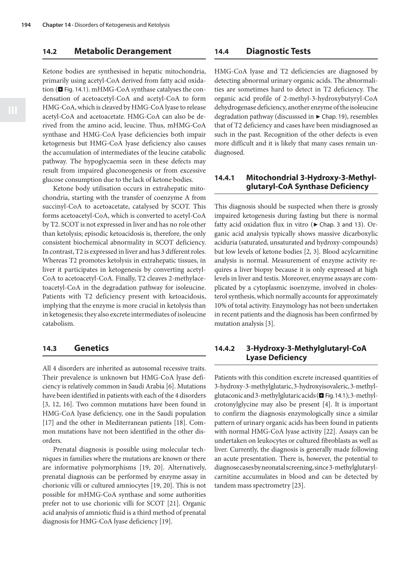#### **14.2 Metabolic Derangement**

#### Ketone bodies are synthesised in hepatic mitochondria, primarily using acetyl-CoA derived from fatty acid oxidation ( $\blacksquare$  Fig. 14.1). mHMG-CoA synthase catalyses the condensation of acetoacetyl-CoA and acetyl-CoA to form HMG-CoA,which is cleaved by HMG-CoAlyase to release acetyl-CoA and acetoacetate. HMG-CoA can also be derived from the amino acid, leucine. Thus, mHMG-CoA synthase and HMG-CoA lyase deficiencies both impair ketogenesis but HMG-CoA lyase deficiency also causes the accumulation of intermediates of the leucine catabolic pathway. The hypoglycaemia seen in these defects may result from impaired gluconeogenesis or from excessive glucose consumption due to the lack of ketone bodies.

Ketone body utilisation occurs in extrahepatic mitochondria, starting with the transfer of coenzyme A from succinyl-CoA to acetoacetate, catalysed by SCOT. This forms acetoacetyl-CoA, which is converted to acetyl-CoA by T2. SCOT is not expressed in liver and has no role other than ketolysis; episodic ketoacidosis is, therefore, the only consistent biochemical abnormality in SCOT deficiency. In contrast, T2 is expressed in liver and has 3 different roles. Whereas T2 promotes ketolysis in extrahepatic tissues, in liver it participates in ketogenesis by converting acetyl-CoA to acetoacetyl-CoA. Finally, T2 cleaves 2-methylacetoacetyl-CoA in the degradation pathway for isoleucine. Patients with T2 deficiency present with ketoacidosis, implying that the enzyme is more crucial in ketolysis than in ketogenesis; they also excrete intermediates of isoleucine catabolism.

#### **14.3 Genetics**

All 4 disorders are inherited as autosomal recessive traits. Their prevalence is unknown but HMG-CoA lyase deficiency is relatively common in Saudi Arabia [6]. Mutations have been identified in patients with each of the 4 disorders [3, 12, 16]. Two common mutations have been found in HMG-CoA lyase deficiency, one in the Saudi population [17] and the other in Mediterranean patients [18]. Common mutations have not been identified in the other disorders.

Prenatal diagnosis is possible using molecular techniques in families where the mutations are known or there are informative polymorphisms [19, 20]. Alternatively, prenatal diagnosis can be performed by enzyme assay in chorionic villi or cultured amniocytes [19, 20]. This is not possible for mHMG-CoA synthase and some authorities prefer not to use chorionic villi for SCOT [21]. Organic acid analysis of amniotic fluid is a third method of prenatal diagnosis for HMG-CoA lyase deficiency [19].

#### **14.4 Diagnostic Tests**

HMG-CoA lyase and T2 deficiencies are diagnosed by detecting abnormal urinary organic acids. The abnormalities are sometimes hard to detect in T2 deficiency. The organic acid profile of 2-methyl-3-hydroxybutyryl-CoA dehydrogenase deficiency, another enzyme of the isoleucine degradation pathway (discusssed in  $\blacktriangleright$  Chap. 19), resembles that of T2 deficiency and cases have been misdiagnosed as such in the past. Recognition of the other defects is even more difficult and it is likely that many cases remain undiagnosed.

#### **14.4.1 Mitochondrial 3-Hydroxy-3-Methylglutaryl-CoA Synthase Deficiency**

This diagnosis should be suspected when there is grossly impaired ketogenesis during fasting but there is normal fatty acid oxidation flux in vitro ( $\blacktriangleright$  Chap. 3 and 13). Organic acid analysis typically shows massive dicarboxylic aciduria (saturated, unsaturated and hydroxy-compounds) but low levels of ketone bodies [2, 3]. Blood acylcarnitine analysis is normal. Measurement of enzyme activity requires a liver biopsy because it is only expressed at high levels in liver and testis. Moreover, enzyme assays are complicated by a cytoplasmic isoenzyme, involved in cholesterol synthesis, which normally accounts for approximately 10% of total activity. Enzymology has not been undertaken in recent patients and the diagnosis has been confirmed by mutation analysis [3].

#### **14.4.2 3-Hydroxy-3-Methylglutaryl-CoA Lyase Deficiency**

Patients with this condition excrete increased quantities of 3-hydroxy-3-methylglutaric, 3-hydroxyisovaleric, 3-methylglutaconic and 3-methylglutaric acids ( $\blacksquare$  Fig. 14.1); 3-methylcrotonylglycine may also be present [4]. It is important to confirm the diagnosis enzymologically since a similar pattern of urinary organic acids has been found in patients with normal HMG-CoA lyase activity [22]. Assays can be undertaken on leukocytes or cultured fibroblasts as well as liver. Currently, the diagnosis is generally made following an acute presentation. There is, however, the potential to diagnosecasesbyneonatalscreening,since 3-methylglutarylcarnitine accumulates in blood and can be detected by tandem mass spectrometry [23].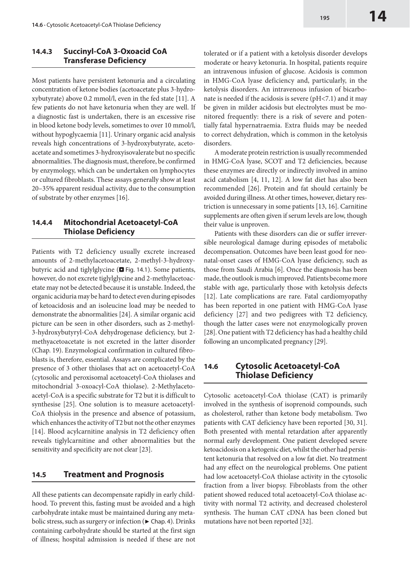#### **14.4.3 Succinyl-CoA 3-Oxoacid CoA Transferase Deficiency**

Most patients have persistent ketonuria and a circulating concentration of ketone bodies (acetoacetate plus 3-hydroxybutyrate) above 0.2 mmol/l, even in the fed state [11]. A few patients do not have ketonuria when they are well. If a diagnostic fast is undertaken, there is an excessive rise in blood ketone body levels, sometimes to over 10 mmol/l, without hypoglycaemia [11]. Urinary organic acid analysis reveals high concentrations of 3-hydroxybutyrate, acetoacetate and sometimes 3-hydroxyisovalerate but no specific abnormalities. The diagnosis must, therefore, be confirmed by enzymology, which can be undertaken on lymphocytes or cultured fibroblasts. These assays generally show at least 20–35% apparent residual activity, due to the consumption of substrate by other enzymes [16].

#### **14.4.4 Mitochondrial Acetoacetyl-CoA Thiolase Deficiency**

Patients with T2 deficiency usually excrete increased amounts of 2-methylacetoacetate, 2-methyl-3-hydroxybutyric acid and tiglylglycine  $(\blacksquare$  Fig. 14.1). Some patients, however, do not excrete tiglylglycine and 2-methylacetoacetate may not be detected because it is unstable. Indeed, the organic aciduria may be hard to detect even during episodes of ketoacidosis and an isoleucine load may be needed to demonstrate the abnormalities [24]. A similar organic acid picture can be seen in other disorders, such as 2-methyl-3-hydroxybutyryl-CoA dehydrogenase deficiency, but 2 methyacetoacetate is not excreted in the latter disorder (Chap. 19). Enzymological confirmation in cultured fibroblasts is, therefore, essential. Assays are complicated by the presence of 3 other thiolases that act on acetoacetyl-CoA (cytosolic and peroxisomal acetoacetyl-CoA thiolases and mitochondrial 3-oxoacyl-CoA thiolase). 2-Methylacetoacetyl-CoA is a specific substrate for T2 but it is difficult to synthesise [25]. One solution is to measure acetoacetyl-CoA thiolysis in the presence and absence of potassium, which enhances the activity of T2 but not the other enzymes [14]. Blood acylcarnitine analysis in T2 deficiency often reveals tiglylcarnitine and other abnormalities but the sensitivity and specificity are not clear [23].

### **14.5 Treatment and Prognosis**

All these patients can decompensate rapidly in early childhood. To prevent this, fasting must be avoided and a high carbohydrate intake must be maintained during any metabolic stress, such as surgery or infection ( $\blacktriangleright$  Chap. 4). Drinks containing carbohydrate should be started at the first sign of illness; hospital admission is needed if these are not tolerated or if a patient with a ketolysis disorder develops moderate or heavy ketonuria. In hospital, patients require an intravenous infusion of glucose. Acidosis is common in HMG-CoA lyase deficiency and, particularly, in the ketolysis disorders. An intravenous infusion of bicarbonate is needed if the acidosis is severe (pH<7.1) and it may be given in milder acidosis but electrolytes must be monitored frequently: there is a risk of severe and potentially fatal hypernatraemia. Extra fluids may be needed to correct dehydration, which is common in the ketolysis disorders.

A moderate protein restriction is usually recommended in HMG-CoA lyase, SCOT and T2 deficiencies, because these enzymes are directly or indirectly involved in amino acid catabolism [4, 11, 12]. A low fat diet has also been recommended [26]. Protein and fat should certainly be avoided during illness. At other times, however, dietary restriction is unnecessary in some patients [13, 16]. Carnitine supplements are often given if serum levels are low, though their value is unproven.

Patients with these disorders can die or suffer irreversible neurological damage during episodes of metabolic decompensation. Outcomes have been least good for neonatal-onset cases of HMG-CoA lyase deficiency, such as those from Saudi Arabia [6]. Once the diagnosis has been made, the outlook is much improved. Patients become more stable with age, particularly those with ketolysis defects [12]. Late complications are rare. Fatal cardiomyopathy has been reported in one patient with HMG-CoA lyase deficiency [27] and two pedigrees with T2 deficiency, though the latter cases were not enzymologically proven [28]. One patient with T2 deficiency has had a healthy child following an uncomplicated pregnancy [29].

### **14.6 Cytosolic Acetoacetyl-CoA Thiolase Deficiency**

Cytosolic acetoacetyl-CoA thiolase (CAT) is primarily involved in the synthesis of isoprenoid compounds, such as cholesterol, rather than ketone body metabolism. Two patients with CAT deficiency have been reported [30, 31]. Both presented with mental retardation after apparently normal early development. One patient developed severe ketoacidosis on a ketogenic diet, whilst the other had persistent ketonuria that resolved on a low fat diet. No treatment had any effect on the neurological problems. One patient had low acetoacetyl-CoA thiolase activity in the cytosolic fraction from a liver biopsy. Fibroblasts from the other patient showed reduced total acetoacetyl-CoA thiolase activity with normal T2 activity, and decreased cholesterol synthesis. The human CAT cDNA has been cloned but mutations have not been reported [32].